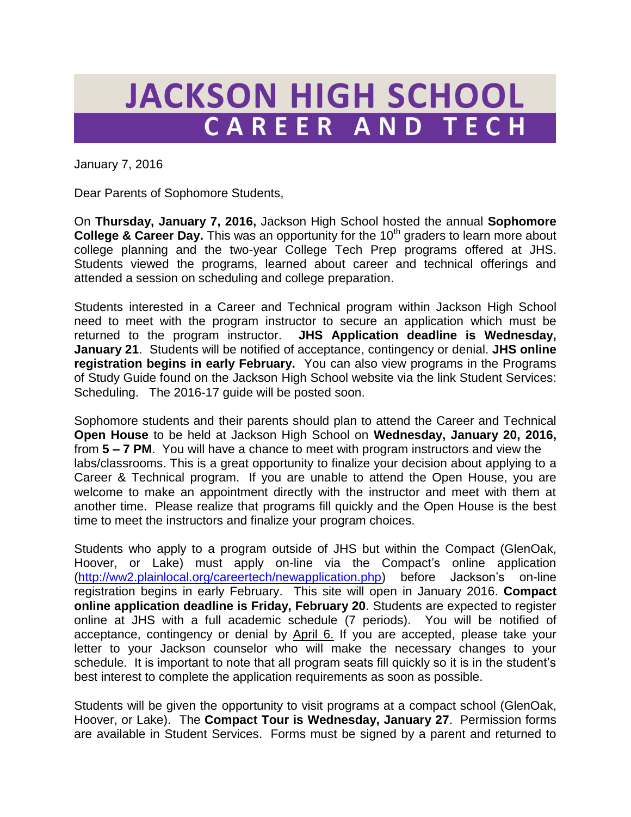## **JACKSON HIGH SCHOOL** CAREER AND TECH

January 7, 2016

Dear Parents of Sophomore Students,

On **Thursday, January 7, 2016,** Jackson High School hosted the annual **Sophomore College & Career Day.** This was an opportunity for the 10<sup>th</sup> graders to learn more about college planning and the two-year College Tech Prep programs offered at JHS. Students viewed the programs, learned about career and technical offerings and attended a session on scheduling and college preparation.

Students interested in a Career and Technical program within Jackson High School need to meet with the program instructor to secure an application which must be returned to the program instructor. **JHS Application deadline is Wednesday, January 21**. Students will be notified of acceptance, contingency or denial. **JHS online registration begins in early February.** You can also view programs in the Programs of Study Guide found on the Jackson High School website via the link Student Services: Scheduling. The 2016-17 guide will be posted soon.

Sophomore students and their parents should plan to attend the Career and Technical **Open House** to be held at Jackson High School on **Wednesday, January 20, 2016,**  from **5 – 7 PM**. You will have a chance to meet with program instructors and view the labs/classrooms. This is a great opportunity to finalize your decision about applying to a Career & Technical program. If you are unable to attend the Open House, you are welcome to make an appointment directly with the instructor and meet with them at another time. Please realize that programs fill quickly and the Open House is the best time to meet the instructors and finalize your program choices.

Students who apply to a program outside of JHS but within the Compact (GlenOak, Hoover, or Lake) must apply on-line via the Compact's online application [\(http://ww2.plainlocal.org/careertech/newapplication.php\)](http://ww2.plainlocal.org/careertech/newapplication.php) before Jackson's on-line registration begins in early February. This site will open in January 2016. **Compact online application deadline is Friday, February 20**. Students are expected to register online at JHS with a full academic schedule (7 periods). You will be notified of acceptance, contingency or denial by April 6. If you are accepted, please take your letter to your Jackson counselor who will make the necessary changes to your schedule. It is important to note that all program seats fill quickly so it is in the student's best interest to complete the application requirements as soon as possible.

Students will be given the opportunity to visit programs at a compact school (GlenOak, Hoover, or Lake). The **Compact Tour is Wednesday, January 27**. Permission forms are available in Student Services. Forms must be signed by a parent and returned to